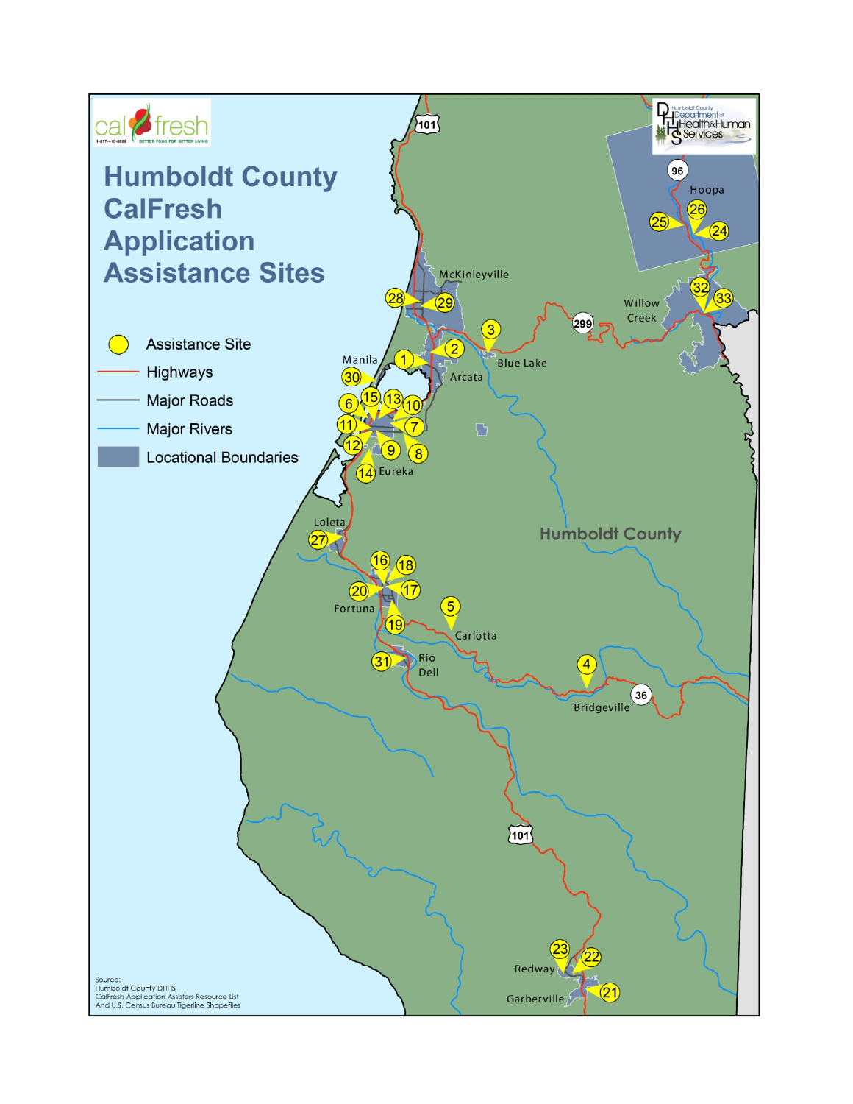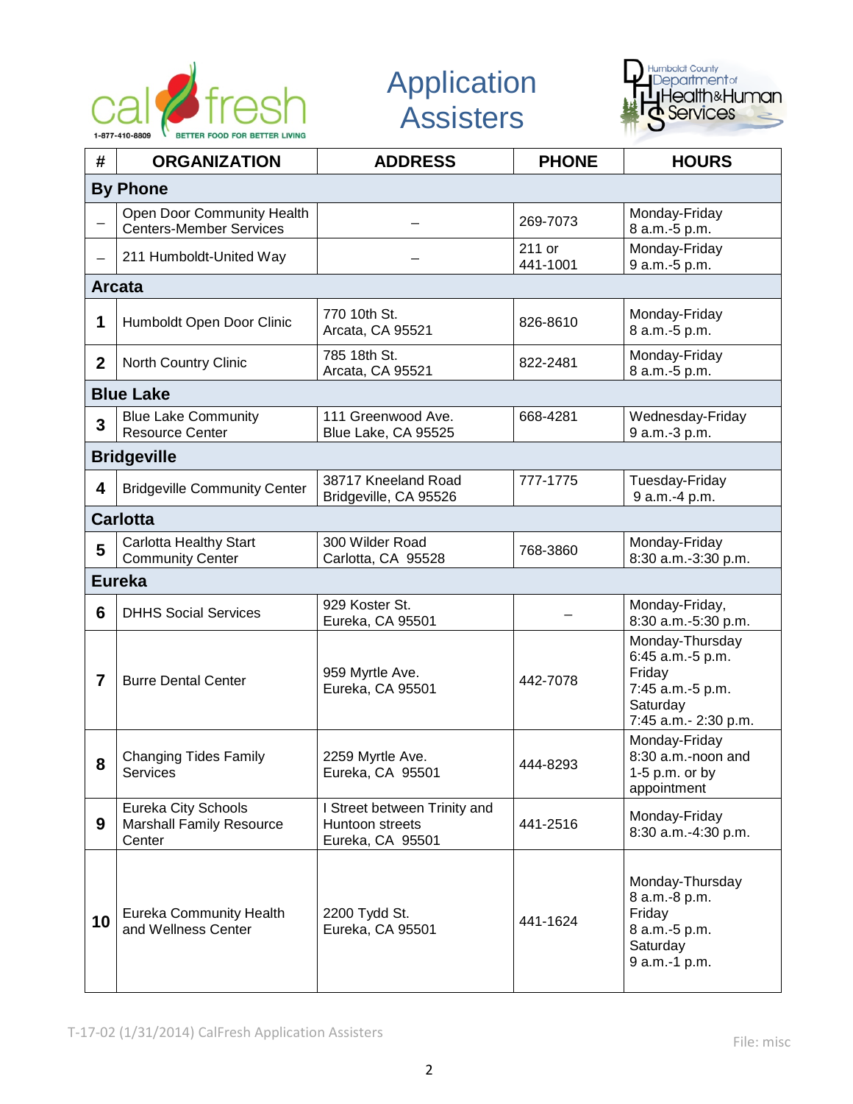

Application **Assisters** 



| #               | <b>ORGANIZATION</b>                                              | <b>ADDRESS</b>                                                      | <b>PHONE</b>       | <b>HOURS</b>                                                                                          |  |  |  |
|-----------------|------------------------------------------------------------------|---------------------------------------------------------------------|--------------------|-------------------------------------------------------------------------------------------------------|--|--|--|
| <b>By Phone</b> |                                                                  |                                                                     |                    |                                                                                                       |  |  |  |
|                 | Open Door Community Health<br><b>Centers-Member Services</b>     |                                                                     | 269-7073           | Monday-Friday<br>8 a.m.-5 p.m.                                                                        |  |  |  |
|                 | 211 Humboldt-United Way                                          |                                                                     | 211 or<br>441-1001 | Monday-Friday<br>9 a.m.-5 p.m.                                                                        |  |  |  |
|                 | <b>Arcata</b>                                                    |                                                                     |                    |                                                                                                       |  |  |  |
| 1               | Humboldt Open Door Clinic                                        | 770 10th St.<br>Arcata, CA 95521                                    | 826-8610           | Monday-Friday<br>8 a.m.-5 p.m.                                                                        |  |  |  |
| $\mathbf{2}$    | North Country Clinic                                             | 785 18th St.<br>Arcata, CA 95521                                    | 822-2481           | Monday-Friday<br>8 a.m.-5 p.m.                                                                        |  |  |  |
|                 | <b>Blue Lake</b>                                                 |                                                                     |                    |                                                                                                       |  |  |  |
| 3               | <b>Blue Lake Community</b><br><b>Resource Center</b>             | 111 Greenwood Ave.<br>Blue Lake, CA 95525                           | 668-4281           | Wednesday-Friday<br>9 a.m.-3 p.m.                                                                     |  |  |  |
|                 | <b>Bridgeville</b>                                               |                                                                     |                    |                                                                                                       |  |  |  |
| 4               | <b>Bridgeville Community Center</b>                              | 38717 Kneeland Road<br>Bridgeville, CA 95526                        | 777-1775           | Tuesday-Friday<br>9 a.m.-4 p.m.                                                                       |  |  |  |
|                 | <b>Carlotta</b>                                                  |                                                                     |                    |                                                                                                       |  |  |  |
| 5               | <b>Carlotta Healthy Start</b><br><b>Community Center</b>         | 300 Wilder Road<br>Carlotta, CA 95528                               | 768-3860           | Monday-Friday<br>8:30 a.m.-3:30 p.m.                                                                  |  |  |  |
|                 | <b>Eureka</b>                                                    |                                                                     |                    |                                                                                                       |  |  |  |
| 6               | <b>DHHS Social Services</b>                                      | 929 Koster St.<br>Eureka, CA 95501                                  |                    | Monday-Friday,<br>8:30 a.m.-5:30 p.m.                                                                 |  |  |  |
| 7               | <b>Burre Dental Center</b>                                       | 959 Myrtle Ave.<br>Eureka, CA 95501                                 | 442-7078           | Monday-Thursday<br>6:45 a.m.-5 p.m.<br>Friday<br>7:45 a.m.-5 p.m.<br>Saturday<br>7:45 a.m.- 2:30 p.m. |  |  |  |
| 8               | <b>Changing Tides Family</b><br>Services                         | 2259 Myrtle Ave.<br>Eureka, CA 95501                                | 444-8293           | Monday-Friday<br>8:30 a.m.-noon and<br>$1-5$ p.m. or by<br>appointment                                |  |  |  |
| 9               | Eureka City Schools<br><b>Marshall Family Resource</b><br>Center | I Street between Trinity and<br>Huntoon streets<br>Eureka, CA 95501 | 441-2516           | Monday-Friday<br>8:30 a.m.-4:30 p.m.                                                                  |  |  |  |
| 10              | <b>Eureka Community Health</b><br>and Wellness Center            | 2200 Tydd St.<br>Eureka, CA 95501                                   | 441-1624           | Monday-Thursday<br>8 a.m.-8 p.m.<br>Friday<br>8 a.m.-5 p.m.<br>Saturday<br>9 a.m.-1 p.m.              |  |  |  |

T-17-02 (1/31/2014) CalFresh Application Assisters File: misc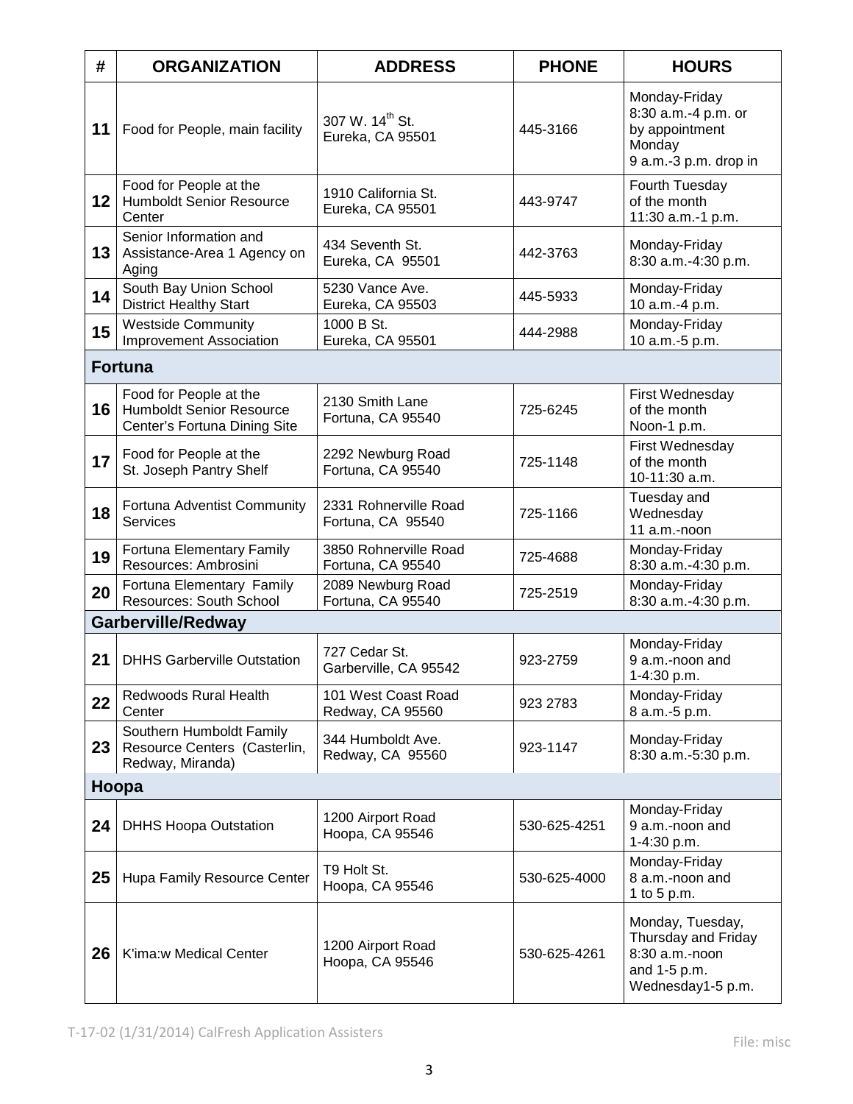| #       | <b>ORGANIZATION</b>                                                                       | <b>ADDRESS</b>                                  | <b>PHONE</b> | <b>HOURS</b>                                                                                   |
|---------|-------------------------------------------------------------------------------------------|-------------------------------------------------|--------------|------------------------------------------------------------------------------------------------|
| 11      | Food for People, main facility                                                            | 307 W. 14 <sup>th</sup> St.<br>Eureka, CA 95501 | 445-3166     | Monday-Friday<br>8:30 a.m.-4 p.m. or<br>by appointment<br>Monday<br>9 a.m.-3 p.m. drop in      |
| $12 \,$ | Food for People at the<br><b>Humboldt Senior Resource</b><br>Center                       | 1910 California St.<br>Eureka, CA 95501         | 443-9747     | Fourth Tuesday<br>of the month<br>11:30 a.m.-1 p.m.                                            |
| 13      | Senior Information and<br>Assistance-Area 1 Agency on<br>Aging                            | 434 Seventh St.<br>Eureka, CA 95501             | 442-3763     | Monday-Friday<br>8:30 a.m.-4:30 p.m.                                                           |
| 14      | South Bay Union School<br><b>District Healthy Start</b>                                   | 5230 Vance Ave.<br>Eureka, CA 95503             | 445-5933     | Monday-Friday<br>10 a.m.-4 p.m.                                                                |
| 15      | <b>Westside Community</b><br><b>Improvement Association</b>                               | 1000 B St.<br>Eureka, CA 95501                  | 444-2988     | Monday-Friday<br>10 a.m.-5 p.m.                                                                |
|         | <b>Fortuna</b>                                                                            |                                                 |              |                                                                                                |
| 16      | Food for People at the<br><b>Humboldt Senior Resource</b><br>Center's Fortuna Dining Site | 2130 Smith Lane<br>Fortuna, CA 95540            | 725-6245     | First Wednesday<br>of the month<br>Noon-1 p.m.                                                 |
| 17      | Food for People at the<br>St. Joseph Pantry Shelf                                         | 2292 Newburg Road<br>Fortuna, CA 95540          | 725-1148     | First Wednesday<br>of the month<br>10-11:30 a.m.                                               |
| 18      | Fortuna Adventist Community<br><b>Services</b>                                            | 2331 Rohnerville Road<br>Fortuna, CA 95540      | 725-1166     | Tuesday and<br>Wednesday<br>11 a.m.-noon                                                       |
| 19      | Fortuna Elementary Family<br>Resources: Ambrosini                                         | 3850 Rohnerville Road<br>Fortuna, CA 95540      | 725-4688     | Monday-Friday<br>8:30 a.m.-4:30 p.m.                                                           |
| 20      | Fortuna Elementary Family<br>Resources: South School                                      | 2089 Newburg Road<br>Fortuna, CA 95540          | 725-2519     | Monday-Friday<br>8:30 a.m.-4:30 p.m.                                                           |
|         | <b>Garberville/Redway</b>                                                                 |                                                 |              |                                                                                                |
| 21      | <b>DHHS Garberville Outstation</b>                                                        | 727 Cedar St.<br>Garberville, CA 95542          | 923-2759     | Monday-Friday<br>9 a.m.-noon and<br>1-4:30 p.m.                                                |
| 22      | <b>Redwoods Rural Health</b><br>Center                                                    | 101 West Coast Road<br>Redway, CA 95560         | 923 2783     | Monday-Friday<br>8 a.m.-5 p.m.                                                                 |
| 23      | Southern Humboldt Family<br>Resource Centers (Casterlin,<br>Redway, Miranda)              | 344 Humboldt Ave.<br>Redway, CA 95560           | 923-1147     | Monday-Friday<br>8:30 a.m.-5:30 p.m.                                                           |
|         | Hoopa                                                                                     |                                                 |              |                                                                                                |
| 24      | <b>DHHS Hoopa Outstation</b>                                                              | 1200 Airport Road<br>Hoopa, CA 95546            | 530-625-4251 | Monday-Friday<br>9 a.m.-noon and<br>1-4:30 p.m.                                                |
| 25      | Hupa Family Resource Center                                                               | T9 Holt St.<br>Hoopa, CA 95546                  | 530-625-4000 | Monday-Friday<br>8 a.m.-noon and<br>1 to 5 p.m.                                                |
| 26      | K'ima:w Medical Center                                                                    | 1200 Airport Road<br>Hoopa, CA 95546            | 530-625-4261 | Monday, Tuesday,<br>Thursday and Friday<br>8:30 a.m.-noon<br>and 1-5 p.m.<br>Wednesday1-5 p.m. |